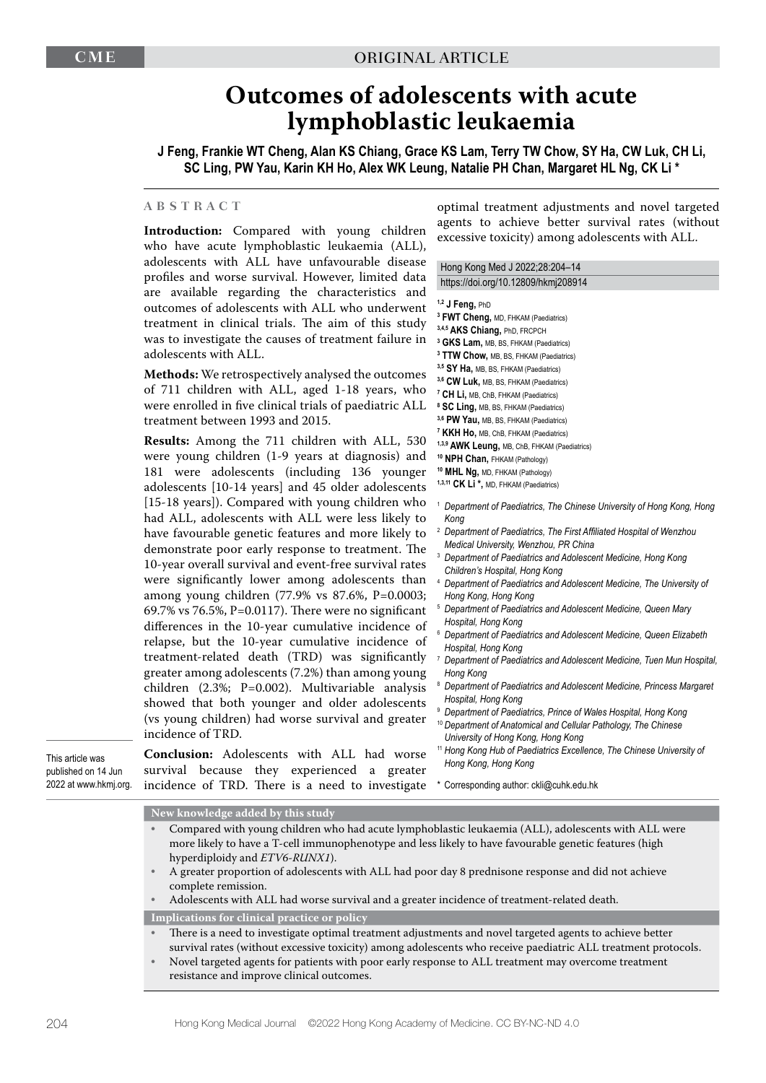# **Outcomes of adolescents with acute lymphoblastic leukaemia**

**J Feng, Frankie WT Cheng, Alan KS Chiang, Grace KS Lam, Terry TW Chow, SY Ha, CW Luk, CH Li, SC Ling, PW Yau, Karin KH Ho, Alex WK Leung, Natalie PH Chan, Margaret HL Ng, CK Li \***

### **ABSTRACT**

**Introduction:** Compared with young children who have acute lymphoblastic leukaemia (ALL) adolescents with ALL have unfavourable di profiles and worse survival. However, limited are available regarding the characteristics outcomes of adolescents with ALL who under treatment in clinical trials. The aim of this was to investigate the causes of treatment failure adolescents with ALL.

**Methods:** We retrospectively analysed the outc of  $711$  children with ALL, aged  $1-18$  years, were enrolled in five clinical trials of paediatric treatment between 1993 and 2015.

Results: Among the 711 children with ALL were young children (1-9 years at diagnosis) 181 were adolescents (including 136 you adolescents [10-14 years] and 45 older adoles [15-18 years]). Compared with young children had ALL, adolescents with ALL were less like have favourable genetic features and more like demonstrate poor early response to treatment 10-year overall survival and event-free survival were significantly lower among adolescents among young children (77.9% vs 87.6%, P=0. 69.7% vs 76.5%, P=0.0117). There were no significant differences in the 10-year cumulative inciden relapse, but the 10-year cumulative incidentreatment-related death (TRD) was signific greater among adolescents  $(7.2%)$  than among y children  $(2.3\%; P=0.002)$ . Multivariable an showed that both younger and older adoles (vs young children) had worse survival and gr incidence of TRD.

This article was published on 14 Jun 2022 at www.hkmj.org.

**Conclusion:** Adolescents with ALL had w survival because they experienced a gr incidence of TRD. There is a need to inves

**New knowledge added by this study**

optimal treatment adjustments and novel targeted agents to achieve better survival rates (without excessive toxicity) among adolescents with ALL.

| $\cdots$ |                                                                                                        |
|----------|--------------------------------------------------------------------------------------------------------|
| sease    | Hong Kong Med J 2022;28:204-14                                                                         |
| . data   | https://doi.org/10.12809/hkmj208914                                                                    |
| and      |                                                                                                        |
| :went    | 1,2 J Feng, PhD                                                                                        |
| study    | <sup>3</sup> FWT Cheng, MD, FHKAM (Paediatrics)                                                        |
| ıre in   | 3,4,5 AKS Chiang, PhD, FRCPCH                                                                          |
|          | <sup>3</sup> GKS Lam, MB, BS, FHKAM (Paediatrics)                                                      |
|          | <sup>3</sup> TTW Chow, MB, BS, FHKAM (Paediatrics)                                                     |
| omes     | 3,5 SY Ha, MB, BS, FHKAM (Paediatrics)                                                                 |
| who      | 3,6 CW Luk, MB, BS, FHKAM (Paediatrics)                                                                |
| : ALL    | <sup>7</sup> CH Li, MB, ChB, FHKAM (Paediatrics)                                                       |
|          | <sup>8</sup> SC Ling, MB, BS, FHKAM (Paediatrics)                                                      |
|          | 3,6 PW Yau, MB, BS, FHKAM (Paediatrics)                                                                |
| , 530    | <sup>7</sup> KKH Ho, MB, ChB, FHKAM (Paediatrics)                                                      |
| and      | 1,3,9 AWK Leung, MB, ChB, FHKAM (Paediatrics)                                                          |
|          | <sup>10</sup> NPH Chan, FHKAM (Pathology)<br><sup>10</sup> MHL Ng, MD, FHKAM (Pathology)               |
| unger    | 1,3,11 CK Li *, MD, FHKAM (Paediatrics)                                                                |
| cents    |                                                                                                        |
| ı who    | <sup>1</sup> Department of Paediatrics, The Chinese University of Hong Kong, Hong                      |
| ely to   | Kong                                                                                                   |
| ely to   | <sup>2</sup> Department of Paediatrics, The First Affiliated Hospital of Wenzhou                       |
| ∷ The    | Medical University, Wenzhou, PR China                                                                  |
| rates    | <sup>3</sup> Department of Paediatrics and Adolescent Medicine, Hong Kong                              |
| than     | Children's Hospital, Hong Kong                                                                         |
|          | <sup>4</sup> Department of Paediatrics and Adolescent Medicine, The University of                      |
| 0003;    | Hong Kong, Hong Kong                                                                                   |
| ficant   | <sup>5</sup> Department of Paediatrics and Adolescent Medicine, Queen Mary                             |
| ice of   | Hospital, Hong Kong<br><sup>6</sup> Department of Paediatrics and Adolescent Medicine, Queen Elizabeth |
| ce of    | Hospital, Hong Kong                                                                                    |
| cantly   | <sup>7</sup> Department of Paediatrics and Adolescent Medicine, Tuen Mun Hospital,                     |
| oung     | Hong Kong                                                                                              |
| alysis   | <sup>8</sup> Department of Paediatrics and Adolescent Medicine, Princess Margaret                      |
|          | Hospital, Hong Kong                                                                                    |
| cents    | <sup>9</sup> Department of Paediatrics, Prince of Wales Hospital, Hong Kong                            |
| eater:   | <sup>10</sup> Department of Anatomical and Cellular Pathology, The Chinese                             |
|          | University of Hong Kong, Hong Kong                                                                     |
| worse    | <sup>11</sup> Hong Kong Hub of Paediatrics Excellence, The Chinese University of                       |
| eater:   | Hong Kong, Hong Kong                                                                                   |
|          |                                                                                                        |
| tigate   | * Corresponding author: ckli@cuhk.edu.hk                                                               |
|          |                                                                                                        |
|          |                                                                                                        |

- Compared with young children who had acute lymphoblastic leukaemia (ALL), adolescents with ALL were more likely to have a T-cell immunophenotype and less likely to have favourable genetic features (high hyperdiploidy and *ETV6-RUNX1*).
- A greater proportion of adolescents with ALL had poor day 8 prednisone response and did not achieve complete remission.

• Adolescents with ALL had worse survival and a greater incidence of treatment-related death. **Implications for clinical practice or policy**

- There is a need to investigate optimal treatment adjustments and novel targeted agents to achieve better survival rates (without excessive toxicity) among adolescents who receive paediatric ALL treatment protocols.
- Novel targeted agents for patients with poor early response to ALL treatment may overcome treatment resistance and improve clinical outcomes.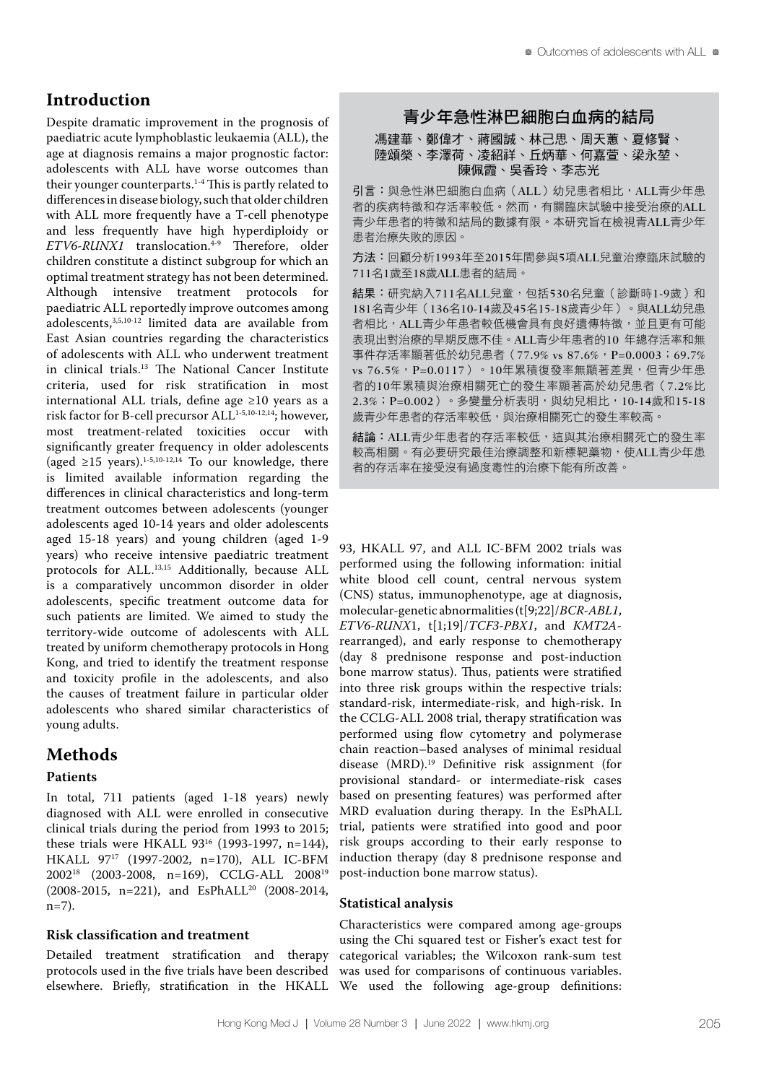# **Introduction**

Despite dramatic improvement in the prognosis of paediatric acute lymphoblastic leukaemia (ALL), the age at diagnosis remains a major prognostic factor: adolescents with ALL have worse outcomes than their younger counterparts.1-4 This is partly related to differences in disease biology, such that older children with ALL more frequently have a T-cell phenotype and less frequently have high hyperdiploidy or *ETV6-RUNX1* translocation.4-9 Therefore, older children constitute a distinct subgroup for which an optimal treatment strategy has not been determined. Although intensive treatment protocols for paediatric ALL reportedly improve outcomes among adolescents,3,5,10-12 limited data are available from East Asian countries regarding the characteristics of adolescents with ALL who underwent treatment in clinical trials.13 The National Cancer Institute criteria, used for risk stratification in most international ALL trials, define age ≥10 years as a risk factor for B-cell precursor ALL<sup>1-5,10-12,14</sup>; however, most treatment-related toxicities occur with significantly greater frequency in older adolescents (aged  $\geq$ 15 years).<sup>1-5,10-12,14</sup> To our knowledge, there is limited available information regarding the differences in clinical characteristics and long-term treatment outcomes between adolescents (younger adolescents aged 10-14 years and older adolescents aged 15-18 years) and young children (aged 1-9 years) who receive intensive paediatric treatment protocols for ALL.<sup>13,15</sup> Additionally, because ALL is a comparatively uncommon disorder in older adolescents, specific treatment outcome data for such patients are limited. We aimed to study the territory-wide outcome of adolescents with ALL treated by uniform chemotherapy protocols in Hong Kong, and tried to identify the treatment response and toxicity profile in the adolescents, and also the causes of treatment failure in particular older adolescents who shared similar characteristics of young adults.

# **Methods**

# **Patients**

In total, 711 patients (aged 1-18 years) newly diagnosed with ALL were enrolled in consecutive clinical trials during the period from 1993 to 2015; these trials were HKALL 9316 (1993-1997, n=144), HKALL 9717 (1997-2002, n=170), ALL IC-BFM 200218 (2003-2008, n=169), CCLG-ALL 200819 (2008-2015, n=221), and EsPhALL20 (2008-2014, n=7).

# **Risk classification and treatment**

Detailed treatment stratification and therapy protocols used in the five trials have been described

# 青少年急性淋巴細胞白血病的結局

馮建華、鄭偉才、蔣國誠、林己思、周天蕙、夏修賢、 陸頌榮、李澤荷、凌紹祥、丘炳華、何嘉萱、梁永堃、 陳佩霞、吳香玲、李志光

引言:與急性淋巴細胞白血病(ALL)幼兒患者相比,ALL青少年患 者的疾病特徵和存活率較低。然而,有關臨床試驗中接受治療的ALL 青少年患者的特徵和結局的數據有限。本研究旨在檢視青ALL青少年 患者治療失敗的原因。

方法:回顧分析1993年至2015年間參與5項ALL兒童治療臨床試驗的 711名1歲至18歲ALL患者的結局。

結果:研究納入711名ALL兒童,包括530名兒童(診斷時1-9歲)和 181名青少年(136名10-14歲及45名15-18歲青少年)。與ALL幼兒患 者相比,ALL青少年患者較低機會具有良好遺傳特徵,並且更有可能 表現出對治療的早期反應不佳。ALL青少年患者的10 年總存活率和無 事件存活率顯著低於幼兒患者 (77.9% vs 87.6%, P=0.0003;69.7% vs 76.5%, P=0.0117)。10年累積復發率無顯著差異, 但青少年患 者的10年累積與治療相關死亡的發生率顯著高於幼兒患者(7.2%比 2.3%; P=0.002)。多變量分析表明,與幼兒相比, 10-14歲和15-18 歲青少年患者的存活率較低,與治療相關死亡的發生率較高。

結論:ALL青少年患者的存活率較低,這與其治療相關死亡的發生率 較高相關。有必要研究最佳治療調整和新標靶藥物,使ALL青少年患 者的存活率在接受沒有過度毒性的治療下能有所改善。

93, HKALL 97, and ALL IC-BFM 2002 trials was performed using the following information: initial white blood cell count, central nervous system (CNS) status, immunophenotype, age at diagnosis, molecular-genetic abnormalities (t[9;22]/*BCR-ABL1*, *ETV6-RUNX*1, t[1;19]/*TCF3-PBX1*, and *KMT2A*rearranged), and early response to chemotherapy (day 8 prednisone response and post-induction bone marrow status). Thus, patients were stratified into three risk groups within the respective trials: standard-risk, intermediate-risk, and high-risk. In the CCLG-ALL 2008 trial, therapy stratification was performed using flow cytometry and polymerase chain reaction–based analyses of minimal residual disease (MRD).19 Definitive risk assignment (for provisional standard- or intermediate-risk cases based on presenting features) was performed after MRD evaluation during therapy. In the EsPhALL trial, patients were stratified into good and poor risk groups according to their early response to induction therapy (day 8 prednisone response and post-induction bone marrow status).

# **Statistical analysis**

elsewhere. Briefly, stratification in the HKALL We used the following age-group definitions: Characteristics were compared among age-groups using the Chi squared test or Fisher's exact test for categorical variables; the Wilcoxon rank-sum test was used for comparisons of continuous variables.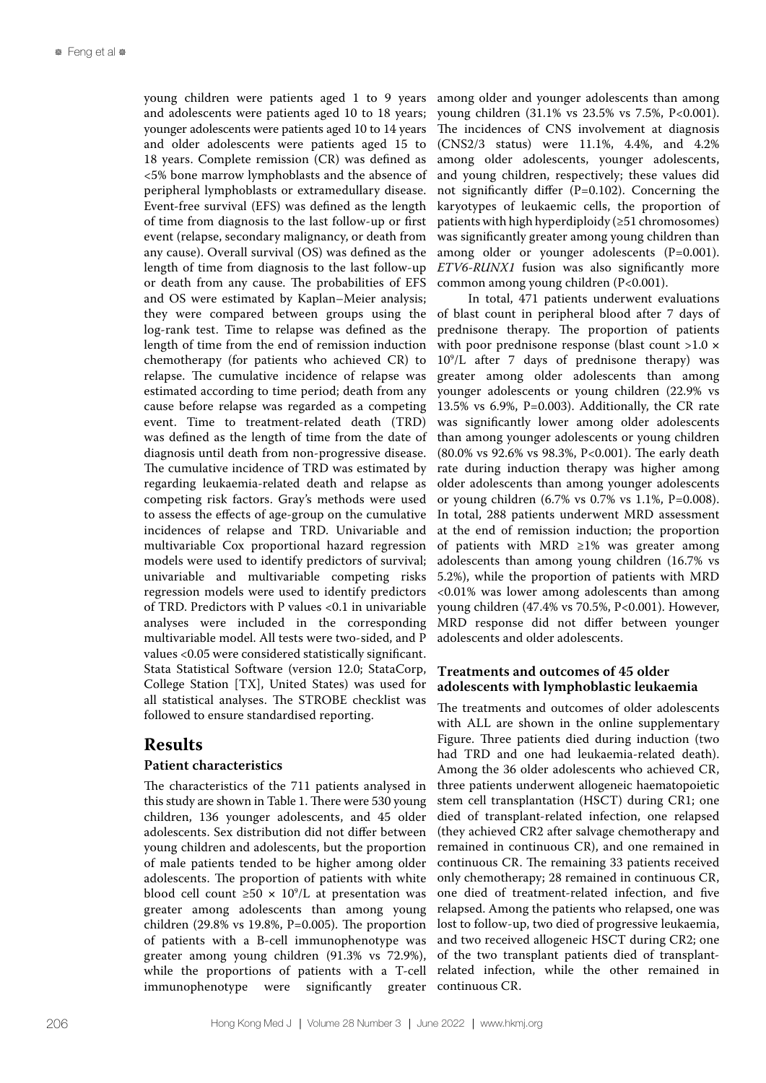young children were patients aged 1 to 9 years and adolescents were patients aged 10 to 18 years; younger adolescents were patients aged 10 to 14 years and older adolescents were patients aged 15 to 18 years. Complete remission (CR) was defined as <5% bone marrow lymphoblasts and the absence of peripheral lymphoblasts or extramedullary disease. Event-free survival (EFS) was defined as the length of time from diagnosis to the last follow-up or first event (relapse, secondary malignancy, or death from any cause). Overall survival (OS) was defined as the length of time from diagnosis to the last follow-up or death from any cause. The probabilities of EFS and OS were estimated by Kaplan–Meier analysis; they were compared between groups using the log-rank test. Time to relapse was defined as the length of time from the end of remission induction chemotherapy (for patients who achieved CR) to relapse. The cumulative incidence of relapse was estimated according to time period; death from any cause before relapse was regarded as a competing event. Time to treatment-related death (TRD) was defined as the length of time from the date of diagnosis until death from non-progressive disease. The cumulative incidence of TRD was estimated by regarding leukaemia-related death and relapse as competing risk factors. Gray's methods were used to assess the effects of age-group on the cumulative incidences of relapse and TRD. Univariable and multivariable Cox proportional hazard regression models were used to identify predictors of survival; univariable and multivariable competing risks regression models were used to identify predictors of TRD. Predictors with P values <0.1 in univariable analyses were included in the corresponding multivariable model. All tests were two-sided, and P values <0.05 were considered statistically significant. Stata Statistical Software (version 12.0; StataCorp, College Station [TX], United States) was used for all statistical analyses. The STROBE checklist was followed to ensure standardised reporting.

# **Results**

### **Patient characteristics**

The characteristics of the 711 patients analysed in this study are shown in Table 1. There were 530 young children, 136 younger adolescents, and 45 older adolescents. Sex distribution did not differ between young children and adolescents, but the proportion of male patients tended to be higher among older adolescents. The proportion of patients with white blood cell count  $\geq 50 \times 10^9$ /L at presentation was greater among adolescents than among young children (29.8% vs 19.8%, P=0.005). The proportion of patients with a B-cell immunophenotype was greater among young children (91.3% vs 72.9%), while the proportions of patients with a T-cell immunophenotype were significantly greater continuous CR.

among older and younger adolescents than among young children (31.1% vs 23.5% vs 7.5%, P<0.001). The incidences of CNS involvement at diagnosis (CNS2/3 status) were 11.1%, 4.4%, and 4.2% among older adolescents, younger adolescents, and young children, respectively; these values did not significantly differ (P=0.102). Concerning the karyotypes of leukaemic cells, the proportion of patients with high hyperdiploidy (≥51 chromosomes) was significantly greater among young children than among older or younger adolescents (P=0.001). *ETV6-RUNX1* fusion was also significantly more common among young children (P<0.001).

In total, 471 patients underwent evaluations of blast count in peripheral blood after 7 days of prednisone therapy. The proportion of patients with poor prednisone response (blast count >1.0  $\times$ 109 /L after 7 days of prednisone therapy) was greater among older adolescents than among younger adolescents or young children (22.9% vs 13.5% vs 6.9%, P=0.003). Additionally, the CR rate was significantly lower among older adolescents than among younger adolescents or young children (80.0% vs 92.6% vs 98.3%, P<0.001). The early death rate during induction therapy was higher among older adolescents than among younger adolescents or young children (6.7% vs 0.7% vs 1.1%, P=0.008). In total, 288 patients underwent MRD assessment at the end of remission induction; the proportion of patients with MRD ≥1% was greater among adolescents than among young children (16.7% vs 5.2%), while the proportion of patients with MRD <0.01% was lower among adolescents than among young children (47.4% vs 70.5%, P<0.001). However, MRD response did not differ between younger adolescents and older adolescents.

# **Treatments and outcomes of 45 older adolescents with lymphoblastic leukaemia**

The treatments and outcomes of older adolescents with ALL are shown in the online supplementary Figure. Three patients died during induction (two had TRD and one had leukaemia-related death). Among the 36 older adolescents who achieved CR, three patients underwent allogeneic haematopoietic stem cell transplantation (HSCT) during CR1; one died of transplant-related infection, one relapsed (they achieved CR2 after salvage chemotherapy and remained in continuous CR), and one remained in continuous CR. The remaining 33 patients received only chemotherapy; 28 remained in continuous CR, one died of treatment-related infection, and five relapsed. Among the patients who relapsed, one was lost to follow-up, two died of progressive leukaemia, and two received allogeneic HSCT during CR2; one of the two transplant patients died of transplantrelated infection, while the other remained in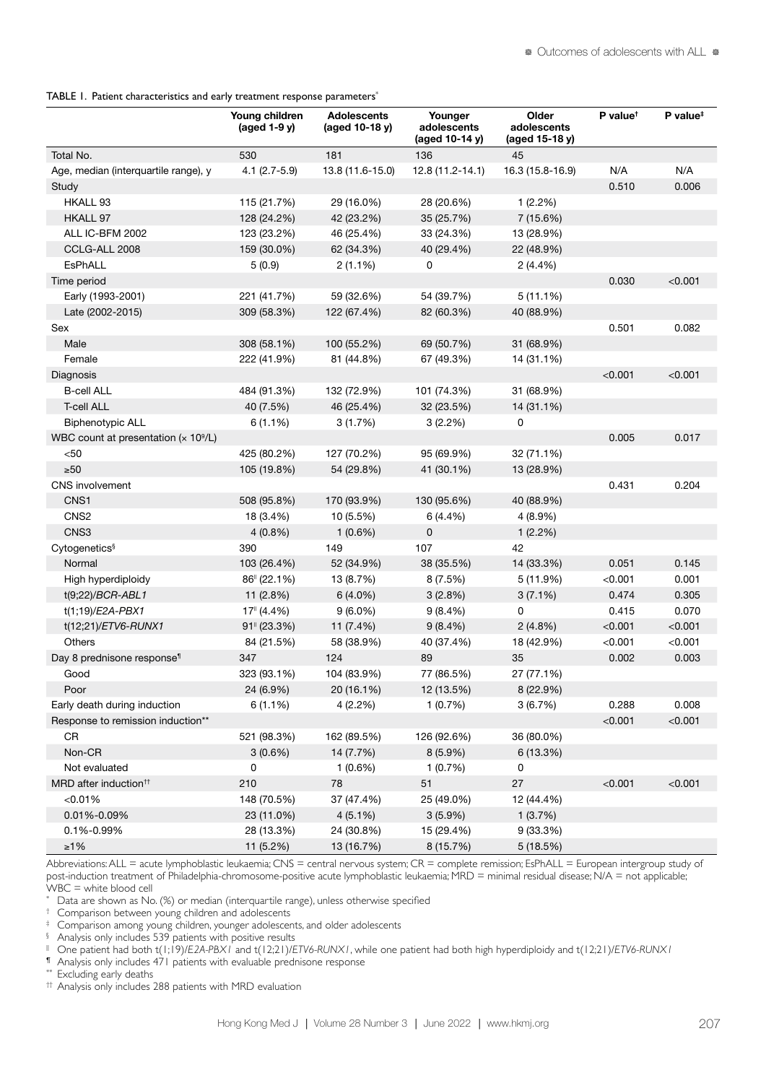TABLE 1. Patient characteristics and early treatment response parameters<sup>\*</sup>

|                                                          | Young children<br>$(\text{aged } 1-9 \text{ y})$ | <b>Adolescents</b><br>(aged 10-18 y) | Younger<br>adolescents<br>(aged 10-14 y) | Older<br>adolescents<br>(aged 15-18 y) | $P$ value <sup>t</sup> | P value <sup>#</sup> |
|----------------------------------------------------------|--------------------------------------------------|--------------------------------------|------------------------------------------|----------------------------------------|------------------------|----------------------|
| Total No.                                                | 530                                              | 181                                  | 136                                      | 45                                     |                        |                      |
| Age, median (interquartile range), y                     | $4.1 (2.7 - 5.9)$                                | 13.8 (11.6-15.0)                     | $12.8(11.2 - 14.1)$                      | 16.3 (15.8-16.9)                       | N/A                    | N/A                  |
| Study                                                    |                                                  |                                      |                                          |                                        | 0.510                  | 0.006                |
| HKALL 93                                                 | 115 (21.7%)                                      | 29 (16.0%)                           | 28 (20.6%)                               | 1(2.2%)                                |                        |                      |
| HKALL 97                                                 | 128 (24.2%)                                      | 42 (23.2%)                           | 35 (25.7%)                               | 7 (15.6%)                              |                        |                      |
| ALL IC-BFM 2002                                          | 123 (23.2%)                                      | 46 (25.4%)                           | 33 (24.3%)                               | 13 (28.9%)                             |                        |                      |
| CCLG-ALL 2008                                            | 159 (30.0%)                                      | 62 (34.3%)                           | 40 (29.4%)                               | 22 (48.9%)                             |                        |                      |
| EsPhALL                                                  | 5(0.9)                                           | $2(1.1\%)$                           | 0                                        | 2(4.4%)                                |                        |                      |
| Time period                                              |                                                  |                                      |                                          |                                        | 0.030                  | < 0.001              |
| Early (1993-2001)                                        | 221 (41.7%)                                      | 59 (32.6%)                           | 54 (39.7%)                               | $5(11.1\%)$                            |                        |                      |
| Late (2002-2015)                                         | 309 (58.3%)                                      | 122 (67.4%)                          | 82 (60.3%)                               | 40 (88.9%)                             |                        |                      |
| Sex                                                      |                                                  |                                      |                                          |                                        | 0.501                  | 0.082                |
| Male                                                     | 308 (58.1%)                                      | 100 (55.2%)                          | 69 (50.7%)                               | 31 (68.9%)                             |                        |                      |
| Female                                                   | 222 (41.9%)                                      | 81 (44.8%)                           | 67 (49.3%)                               | 14 (31.1%)                             |                        |                      |
| <b>Diagnosis</b>                                         |                                                  |                                      |                                          |                                        | < 0.001                | < 0.001              |
| <b>B-cell ALL</b>                                        | 484 (91.3%)                                      | 132 (72.9%)                          | 101 (74.3%)                              | 31 (68.9%)                             |                        |                      |
| <b>T-cell ALL</b>                                        | 40 (7.5%)                                        | 46 (25.4%)                           | 32 (23.5%)                               | 14 (31.1%)                             |                        |                      |
| <b>Biphenotypic ALL</b>                                  | $6(1.1\%)$                                       | 3(1.7%)                              | 3(2.2%)                                  | 0                                      |                        |                      |
| WBC count at presentation ( $\times$ 10 <sup>9</sup> /L) |                                                  |                                      |                                          |                                        | 0.005                  | 0.017                |
| $50$                                                     | 425 (80.2%)                                      | 127 (70.2%)                          | 95 (69.9%)                               | 32 (71.1%)                             |                        |                      |
| $\geq 50$                                                | 105 (19.8%)                                      | 54 (29.8%)                           | 41 (30.1%)                               | 13 (28.9%)                             |                        |                      |
| CNS involvement                                          |                                                  |                                      |                                          |                                        | 0.431                  | 0.204                |
| CNS1                                                     | 508 (95.8%)                                      | 170 (93.9%)                          | 130 (95.6%)                              | 40 (88.9%)                             |                        |                      |
| CNS <sub>2</sub>                                         | 18 (3.4%)                                        | 10 (5.5%)                            | 6 (4.4%)                                 | $4(8.9\%)$                             |                        |                      |
| CNS3                                                     | $4(0.8\%)$                                       | $1(0.6\%)$                           | 0                                        | 1(2.2%)                                |                        |                      |
| Cytogenetics <sup>§</sup>                                | 390                                              | 149                                  | 107                                      | 42                                     |                        |                      |
| Normal                                                   | 103 (26.4%)                                      | 52 (34.9%)                           | 38 (35.5%)                               | 14 (33.3%)                             | 0.051                  | 0.145                |
| High hyperdiploidy                                       | 86" (22.1%)                                      | 13 (8.7%)                            | 8(7.5%)                                  | 5(11.9%)                               | < 0.001                | 0.001                |
| t(9;22)/BCR-ABL1                                         | 11 (2.8%)                                        | $6(4.0\%)$                           | 3(2.8%)                                  | $3(7.1\%)$                             | 0.474                  | 0.305                |
| t(1;19)/E2A-PBX1                                         | $17^{\circ}$ (4.4%)                              | $9(6.0\%)$                           | $9(8.4\%)$                               | 0                                      | 0.415                  | 0.070                |
| t(12;21)/ETV6-RUNX1                                      | $91$ <sup><math>\mid</math></sup> (23.3%)        | 11 (7.4%)                            | $9(8.4\%)$                               | $2(4.8\%)$                             | < 0.001                | < 0.001              |
| <b>Others</b>                                            | 84 (21.5%)                                       | 58 (38.9%)                           | 40 (37.4%)                               | 18 (42.9%)                             | < 0.001                | < 0.001              |
| Day 8 prednisone response <sup>1</sup>                   | 347                                              | 124                                  | 89                                       | 35                                     | 0.002                  | 0.003                |
| Good                                                     | 323 (93.1%)                                      | 104 (83.9%)                          | 77 (86.5%)                               | 27 (77.1%)                             |                        |                      |
| Poor                                                     | 24 (6.9%)                                        | 20 (16.1%)                           | 12 (13.5%)                               | 8 (22.9%)                              |                        |                      |
| Early death during induction                             | $6(1.1\%)$                                       | 4 (2.2%)                             | 1(0.7%)                                  | 3(6.7%)                                | 0.288                  | 0.008                |
| Response to remission induction**                        |                                                  |                                      |                                          |                                        | < 0.001                | < 0.001              |
| CR                                                       | 521 (98.3%)                                      | 162 (89.5%)                          | 126 (92.6%)                              | 36 (80.0%)                             |                        |                      |
| Non-CR                                                   | $3(0.6\%)$                                       | 14 (7.7%)                            | 8 (5.9%)                                 | 6 (13.3%)                              |                        |                      |
| Not evaluated                                            | 0                                                | $1(0.6\%)$                           | 1(0.7%)                                  | 0                                      |                        |                      |
| MRD after induction <sup>tt</sup>                        | 210                                              | 78                                   | 51                                       | 27                                     | < 0.001                | < 0.001              |
| < 0.01%                                                  | 148 (70.5%)                                      | 37 (47.4%)                           | 25 (49.0%)                               | 12 (44.4%)                             |                        |                      |
| 0.01%-0.09%                                              | 23 (11.0%)                                       | $4(5.1\%)$                           | $3(5.9\%)$                               | 1(3.7%)                                |                        |                      |
| 0.1%-0.99%                                               | 28 (13.3%)                                       | 24 (30.8%)                           | 15 (29.4%)                               | 9 (33.3%)                              |                        |                      |
| $\geq 1\%$                                               | 11 (5.2%)                                        | 13 (16.7%)                           | 8 (15.7%)                                | 5 (18.5%)                              |                        |                      |

Abbreviations: ALL = acute lymphoblastic leukaemia; CNS = central nervous system; CR = complete remission; EsPhALL = European intergroup study of post-induction treatment of Philadelphia-chromosome-positive acute lymphoblastic leukaemia; MRD = minimal residual disease; N/A = not applicable; WBC = white blood cell

\* Data are shown as No. (%) or median (interquartile range), unless otherwise specified

† Comparison between young children and adolescents

‡ Comparison among young children, younger adolescents, and older adolescents

§ Analysis only includes 539 patients with positive results

|| One patient had both t(1;19)/*E2A-PBX1* and t(12;21)/*ETV6-RUNX1*, while one patient had both high hyperdiploidy and t(12;21)/*ETV6-RUNX1*

¶ Analysis only includes 471 patients with evaluable prednisone response

Excluding early deaths

†† Analysis only includes 288 patients with MRD evaluation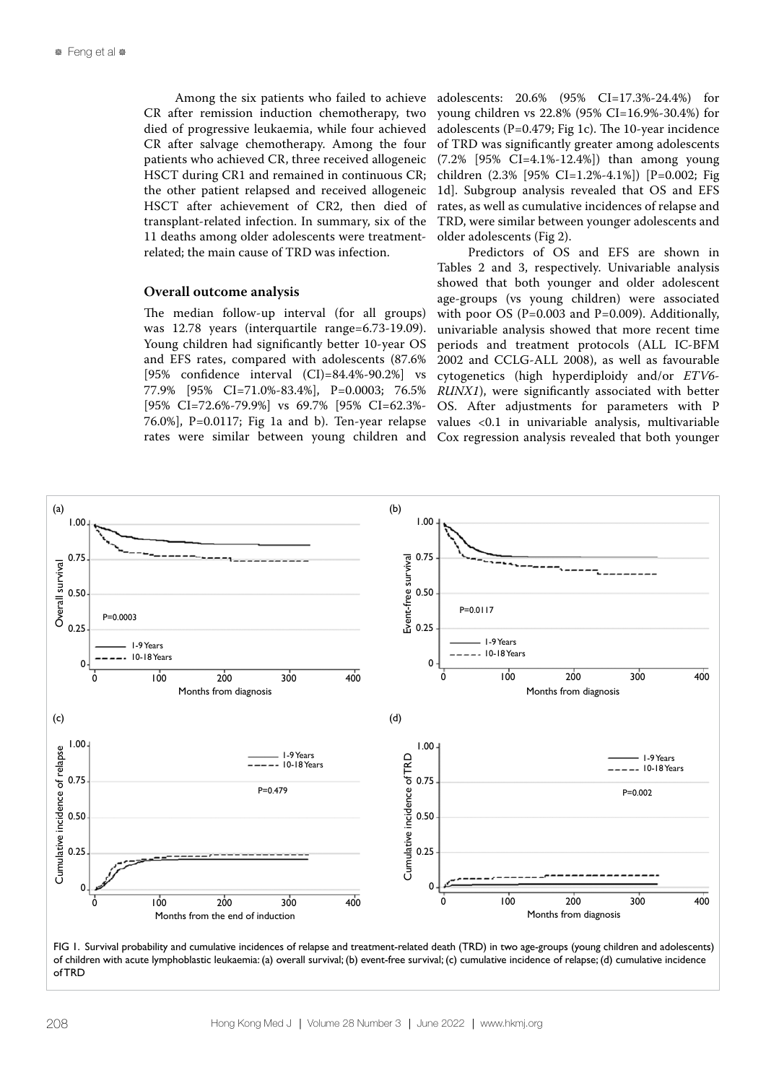Among the six patients who failed to achieve CR after remission induction chemotherapy, two died of progressive leukaemia, while four achieved CR after salvage chemotherapy. Among the four patients who achieved CR, three received allogeneic HSCT during CR1 and remained in continuous CR; the other patient relapsed and received allogeneic HSCT after achievement of CR2, then died of transplant-related infection. In summary, six of the 11 deaths among older adolescents were treatmentrelated; the main cause of TRD was infection.

#### **Overall outcome analysis**

The median follow-up interval (for all groups) was 12.78 years (interquartile range=6.73-19.09). Young children had significantly better 10-year OS and EFS rates, compared with adolescents (87.6% [95% confidence interval (CI)=84.4%-90.2%] vs 77.9% [95% CI=71.0%-83.4%], P=0.0003; 76.5% [95% CI=72.6%-79.9%] vs 69.7% [95% CI=62.3%- 76.0%], P=0.0117; Fig 1a and b). Ten-year relapse rates were similar between young children and

adolescents: 20.6% (95% CI=17.3%-24.4%) for young children vs 22.8% (95% CI=16.9%-30.4%) for adolescents (P=0.479; Fig 1c). The 10-year incidence of TRD was significantly greater among adolescents (7.2% [95% CI=4.1%-12.4%]) than among young children (2.3% [95% CI=1.2%-4.1%]) [P=0.002; Fig 1d]. Subgroup analysis revealed that OS and EFS rates, as well as cumulative incidences of relapse and TRD, were similar between younger adolescents and older adolescents (Fig 2).

Predictors of OS and EFS are shown in Tables 2 and 3, respectively. Univariable analysis showed that both younger and older adolescent age-groups (vs young children) were associated with poor OS (P=0.003 and P=0.009). Additionally, univariable analysis showed that more recent time periods and treatment protocols (ALL IC-BFM 2002 and CCLG-ALL 2008), as well as favourable cytogenetics (high hyperdiploidy and/or *ETV6- RUNX1*), were significantly associated with better OS. After adjustments for parameters with P values <0.1 in univariable analysis, multivariable Cox regression analysis revealed that both younger



FIG 1. Survival probability and cumulative incidences of relapse and treatment-related death (TRD) in two age-groups (young children and adolescents) of children with acute lymphoblastic leukaemia: (a) overall survival; (b) event-free survival; (c) cumulative incidence of relapse; (d) cumulative incidence of TRD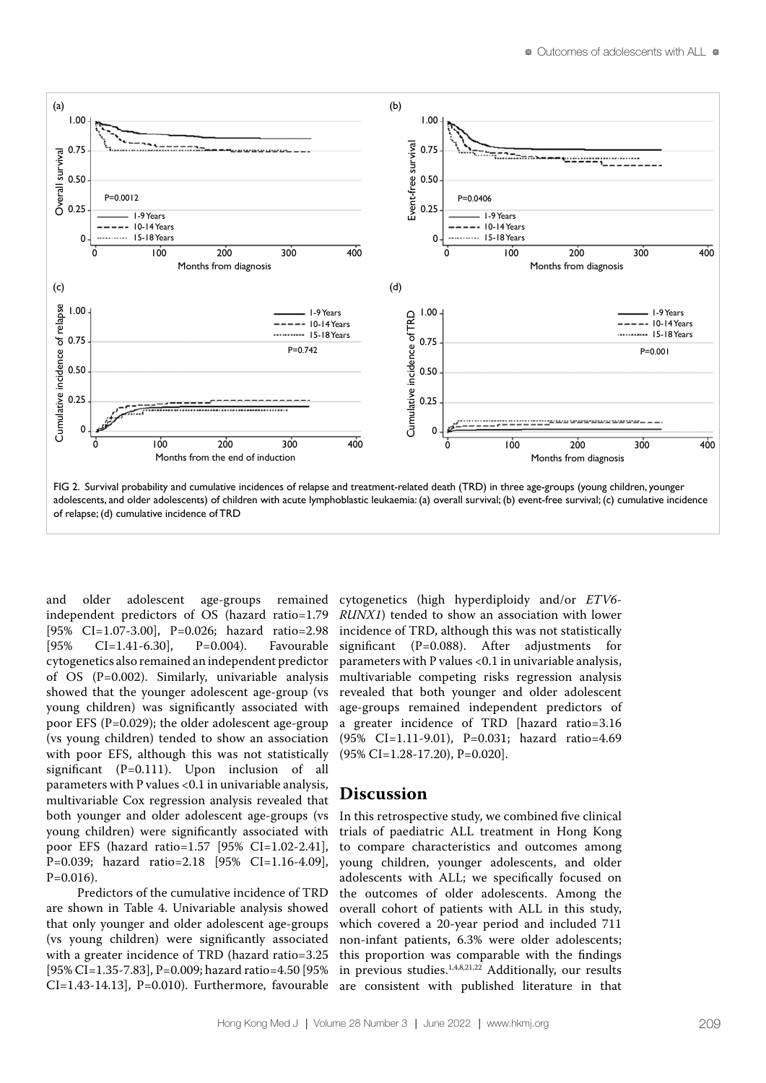

adolescents, and older adolescents) of children with acute lymphoblastic leukaemia: (a) overall survival; (b) event-free survival; (c) cumulative incidence of relapse; (d) cumulative incidence of TRD

and older adolescent age-groups remained independent predictors of OS (hazard ratio=1.79 [95% CI=1.07-3.00], P=0.026; hazard ratio=2.98 [95% CI=1.41-6.30], P=0.004). Favourable cytogenetics also remained an independent predictor of OS (P=0.002). Similarly, univariable analysis showed that the younger adolescent age-group (vs young children) was significantly associated with poor EFS (P=0.029); the older adolescent age-group (vs young children) tended to show an association with poor EFS, although this was not statistically significant (P=0.111). Upon inclusion of all parameters with P values <0.1 in univariable analysis, multivariable Cox regression analysis revealed that both younger and older adolescent age-groups (vs young children) were significantly associated with poor EFS (hazard ratio=1.57 [95% CI=1.02-2.41], P=0.039; hazard ratio=2.18 [95% CI=1.16-4.09],  $P=0.016$ ).

Predictors of the cumulative incidence of TRD are shown in Table 4. Univariable analysis showed that only younger and older adolescent age-groups (vs young children) were significantly associated with a greater incidence of TRD (hazard ratio=3.25 [95% CI=1.35-7.83], P=0.009; hazard ratio=4.50 [95% CI=1.43-14.13], P=0.010). Furthermore, favourable cytogenetics (high hyperdiploidy and/or *ETV6- RUNX1*) tended to show an association with lower incidence of TRD, although this was not statistically significant (P=0.088). After adjustments for parameters with P values <0.1 in univariable analysis, multivariable competing risks regression analysis revealed that both younger and older adolescent age-groups remained independent predictors of a greater incidence of TRD [hazard ratio=3.16 (95% CI=1.11-9.01), P=0.031; hazard ratio=4.69 (95% CI=1.28-17.20), P=0.020].

# **Discussion**

In this retrospective study, we combined five clinical trials of paediatric ALL treatment in Hong Kong to compare characteristics and outcomes among young children, younger adolescents, and older adolescents with ALL; we specifically focused on the outcomes of older adolescents. Among the overall cohort of patients with ALL in this study, which covered a 20-year period and included 711 non-infant patients, 6.3% were older adolescents; this proportion was comparable with the findings in previous studies.1,4,8,21,22 Additionally, our results are consistent with published literature in that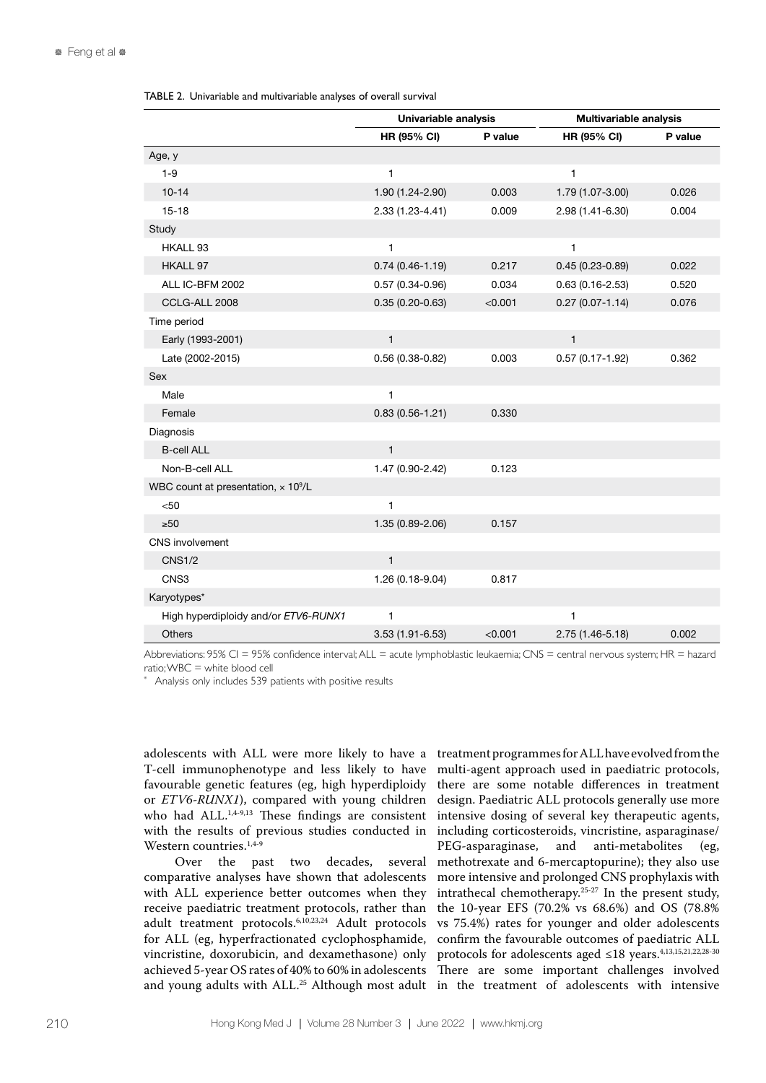TABLE 2. Univariable and multivariable analyses of overall survival

|                                                        | Univariable analysis |         | <b>Multivariable analysis</b> |         |  |
|--------------------------------------------------------|----------------------|---------|-------------------------------|---------|--|
|                                                        | <b>HR (95% CI)</b>   | P value | <b>HR (95% CI)</b>            | P value |  |
| Age, y                                                 |                      |         |                               |         |  |
| $1 - 9$                                                | $\mathbf{1}$         |         | 1                             |         |  |
| $10 - 14$                                              | 1.90 (1.24-2.90)     | 0.003   | 1.79 (1.07-3.00)              | 0.026   |  |
| $15 - 18$                                              | 2.33 (1.23-4.41)     | 0.009   | 2.98 (1.41-6.30)              | 0.004   |  |
| Study                                                  |                      |         |                               |         |  |
| HKALL 93                                               | $\mathbf{1}$         |         | 1                             |         |  |
| HKALL 97                                               | $0.74(0.46-1.19)$    | 0.217   | $0.45(0.23 - 0.89)$           | 0.022   |  |
| ALL IC-BFM 2002                                        | $0.57(0.34 - 0.96)$  | 0.034   | $0.63(0.16 - 2.53)$           | 0.520   |  |
| CCLG-ALL 2008                                          | $0.35(0.20-0.63)$    | < 0.001 | $0.27(0.07 - 1.14)$           | 0.076   |  |
| Time period                                            |                      |         |                               |         |  |
| Early (1993-2001)                                      | $\mathbf{1}$         |         | $\mathbf{1}$                  |         |  |
| Late (2002-2015)                                       | $0.56(0.38-0.82)$    | 0.003   | $0.57(0.17 - 1.92)$           | 0.362   |  |
| Sex                                                    |                      |         |                               |         |  |
| Male                                                   | 1                    |         |                               |         |  |
| Female                                                 | $0.83(0.56 - 1.21)$  | 0.330   |                               |         |  |
| Diagnosis                                              |                      |         |                               |         |  |
| <b>B-cell ALL</b>                                      | $\mathbf{1}$         |         |                               |         |  |
| Non-B-cell ALL                                         | 1.47 (0.90-2.42)     | 0.123   |                               |         |  |
| WBC count at presentation, $\times$ 10 <sup>9</sup> /L |                      |         |                               |         |  |
| < 50                                                   | $\mathbf{1}$         |         |                               |         |  |
| $\geq 50$                                              | 1.35 (0.89-2.06)     | 0.157   |                               |         |  |
| <b>CNS</b> involvement                                 |                      |         |                               |         |  |
| <b>CNS1/2</b>                                          | $\mathbf{1}$         |         |                               |         |  |
| CNS3                                                   | 1.26 (0.18-9.04)     | 0.817   |                               |         |  |
| Karyotypes*                                            |                      |         |                               |         |  |
| High hyperdiploidy and/or ETV6-RUNX1                   | $\mathbf{1}$         |         | 1                             |         |  |
| Others                                                 | 3.53 (1.91-6.53)     | < 0.001 | 2.75 (1.46-5.18)              | 0.002   |  |

Abbreviations: 95% CI = 95% confidence interval;ALL = acute lymphoblastic leukaemia; CNS = central nervous system; HR = hazard ratio; WBC = white blood cell

Analysis only includes 539 patients with positive results

adolescents with ALL were more likely to have a T-cell immunophenotype and less likely to have favourable genetic features (eg, high hyperdiploidy or *ETV6-RUNX1*), compared with young children who had ALL. $1,4-9,13$  These findings are consistent with the results of previous studies conducted in Western countries.<sup>1,4-9</sup>

Over the past two decades, several comparative analyses have shown that adolescents with ALL experience better outcomes when they receive paediatric treatment protocols, rather than adult treatment protocols.6,10,23,24 Adult protocols for ALL (eg, hyperfractionated cyclophosphamide,

vincristine, doxorubicin, and dexamethasone) only protocols for adolescents aged ≤18 years.4,13,15,21,22,28-30 achieved 5-year OS rates of 40% to 60% in adolescents There are some important challenges involved and young adults with ALL.<sup>25</sup> Although most adult in the treatment of adolescents with intensive treatment programmes for ALL have evolved from the multi-agent approach used in paediatric protocols, there are some notable differences in treatment design. Paediatric ALL protocols generally use more intensive dosing of several key therapeutic agents, including corticosteroids, vincristine, asparaginase/ PEG-asparaginase, and anti-metabolites (eg, methotrexate and 6-mercaptopurine); they also use more intensive and prolonged CNS prophylaxis with intrathecal chemotherapy.25-27 In the present study, the 10-year EFS (70.2% vs 68.6%) and OS (78.8% vs 75.4%) rates for younger and older adolescents confirm the favourable outcomes of paediatric ALL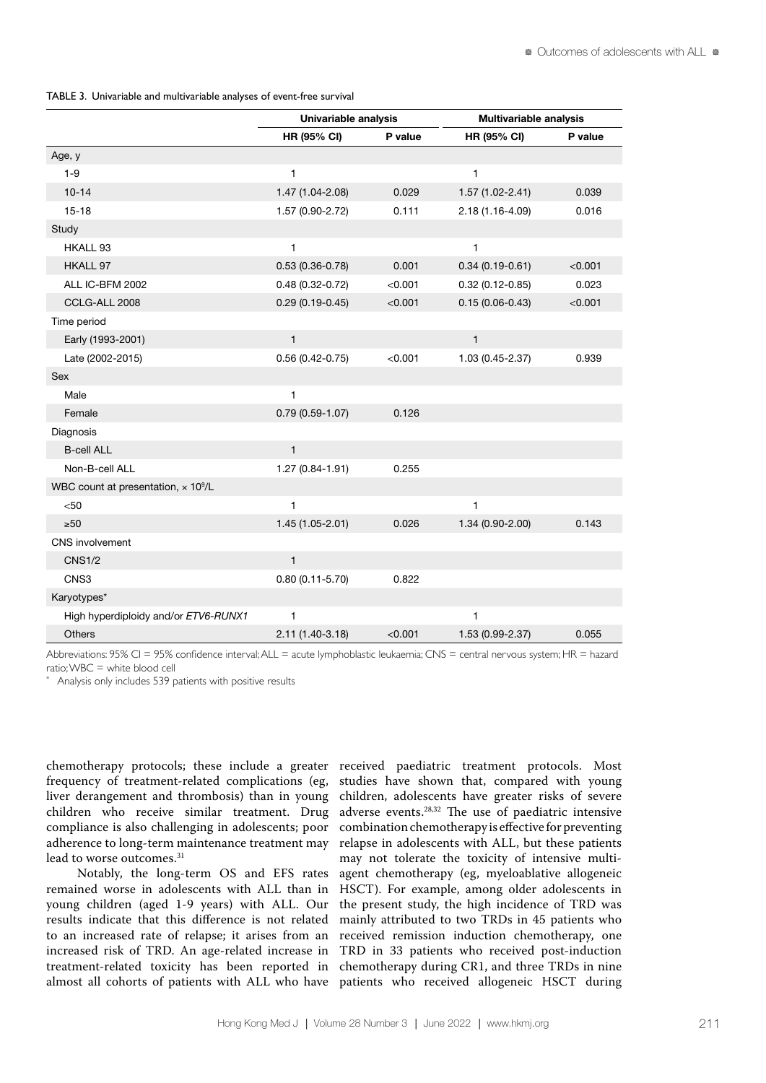TABLE 3. Univariable and multivariable analyses of event-free survival

|                                                 | Univariable analysis |         | Multivariable analysis |         |  |
|-------------------------------------------------|----------------------|---------|------------------------|---------|--|
|                                                 | HR (95% CI)          | P value | HR (95% CI)            | P value |  |
| Age, y                                          |                      |         |                        |         |  |
| $1 - 9$                                         | 1                    |         | $\mathbf{1}$           |         |  |
| $10 - 14$                                       | 1.47 (1.04-2.08)     | 0.029   | $1.57(1.02 - 2.41)$    | 0.039   |  |
| $15 - 18$                                       | 1.57 (0.90-2.72)     | 0.111   | 2.18 (1.16-4.09)       | 0.016   |  |
| Study                                           |                      |         |                        |         |  |
| HKALL 93                                        | 1                    |         | $\mathbf{1}$           |         |  |
| HKALL 97                                        | $0.53(0.36 - 0.78)$  | 0.001   | $0.34(0.19-0.61)$      | < 0.001 |  |
| ALL IC-BFM 2002                                 | $0.48(0.32 - 0.72)$  | < 0.001 | $0.32(0.12 - 0.85)$    | 0.023   |  |
| CCLG-ALL 2008                                   | $0.29(0.19-0.45)$    | < 0.001 | $0.15(0.06 - 0.43)$    | < 0.001 |  |
| Time period                                     |                      |         |                        |         |  |
| Early (1993-2001)                               | $\mathbf{1}$         |         | $\mathbf{1}$           |         |  |
| Late (2002-2015)                                | $0.56(0.42 - 0.75)$  | < 0.001 | 1.03 (0.45-2.37)       | 0.939   |  |
| Sex                                             |                      |         |                        |         |  |
| Male                                            | $\mathbf{1}$         |         |                        |         |  |
| Female                                          | $0.79(0.59 - 1.07)$  | 0.126   |                        |         |  |
| Diagnosis                                       |                      |         |                        |         |  |
| <b>B-cell ALL</b>                               | $\mathbf{1}$         |         |                        |         |  |
| Non-B-cell ALL                                  | $1.27(0.84 - 1.91)$  | 0.255   |                        |         |  |
| WBC count at presentation, x 10 <sup>9</sup> /L |                      |         |                        |         |  |
| < 50                                            | $\mathbf{1}$         |         | $\mathbf{1}$           |         |  |
| >50                                             | $1.45(1.05-2.01)$    | 0.026   | 1.34 (0.90-2.00)       | 0.143   |  |
| <b>CNS</b> involvement                          |                      |         |                        |         |  |
| <b>CNS1/2</b>                                   | $\mathbf{1}$         |         |                        |         |  |
| CNS3                                            | $0.80(0.11 - 5.70)$  | 0.822   |                        |         |  |
| Karyotypes*                                     |                      |         |                        |         |  |
| High hyperdiploidy and/or ETV6-RUNX1            | 1                    |         | $\mathbf{1}$           |         |  |
| Others                                          | 2.11 (1.40-3.18)     | < 0.001 | 1.53 (0.99-2.37)       | 0.055   |  |

Abbreviations: 95% CI = 95% confidence interval;ALL = acute lymphoblastic leukaemia; CNS = central nervous system; HR = hazard ratio; WBC = white blood cell

Analysis only includes 539 patients with positive results

chemotherapy protocols; these include a greater received paediatric treatment protocols. Most frequency of treatment-related complications (eg, liver derangement and thrombosis) than in young children who receive similar treatment. Drug compliance is also challenging in adolescents; poor adherence to long-term maintenance treatment may lead to worse outcomes.<sup>31</sup>

Notably, the long-term OS and EFS rates remained worse in adolescents with ALL than in young children (aged 1-9 years) with ALL. Our results indicate that this difference is not related to an increased rate of relapse; it arises from an increased risk of TRD. An age-related increase in

treatment-related toxicity has been reported in chemotherapy during CR1, and three TRDs in nine almost all cohorts of patients with ALL who have patients who received allogeneic HSCT during studies have shown that, compared with young children, adolescents have greater risks of severe adverse events.28,32 The use of paediatric intensive combination chemotherapy is effective for preventing relapse in adolescents with ALL, but these patients may not tolerate the toxicity of intensive multiagent chemotherapy (eg, myeloablative allogeneic HSCT). For example, among older adolescents in the present study, the high incidence of TRD was mainly attributed to two TRDs in 45 patients who received remission induction chemotherapy, one TRD in 33 patients who received post-induction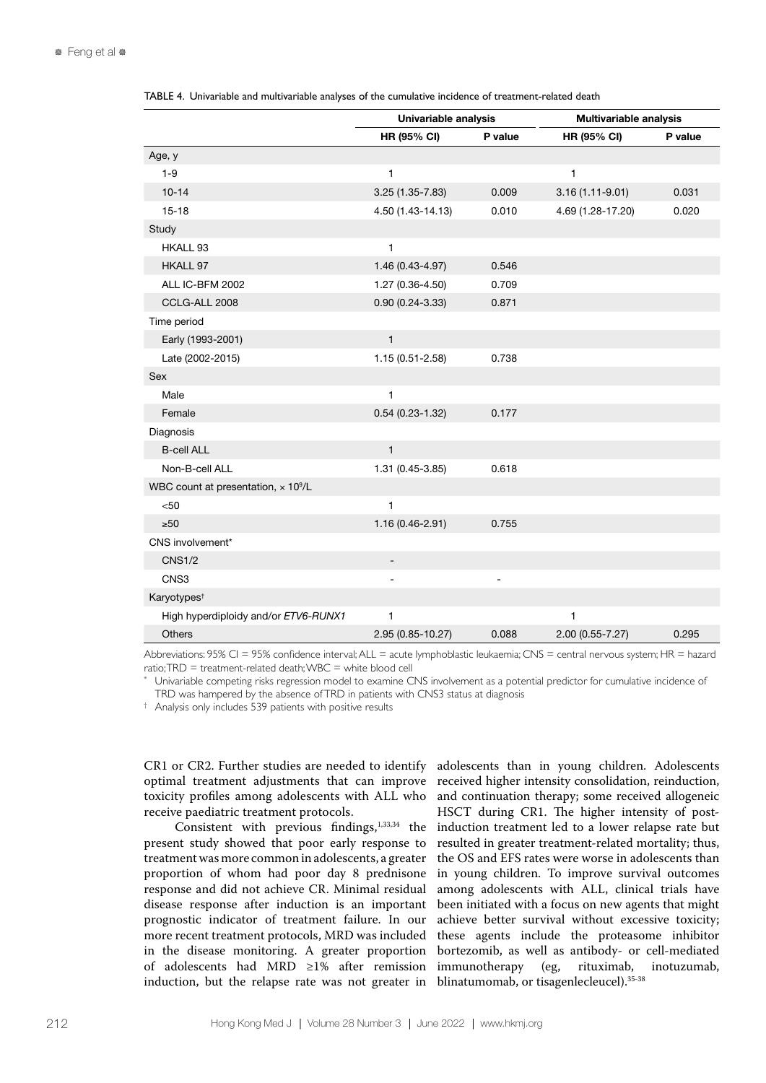|                                                        | Univariable analysis     |                | <b>Multivariable analysis</b> |         |  |
|--------------------------------------------------------|--------------------------|----------------|-------------------------------|---------|--|
|                                                        | HR (95% CI)              | P value        | <b>HR (95% CI)</b>            | P value |  |
| Age, y                                                 |                          |                |                               |         |  |
| $1 - 9$                                                | $\mathbf{1}$             |                | $\mathbf{1}$                  |         |  |
| $10 - 14$                                              | 3.25 (1.35-7.83)         | 0.009          | $3.16(1.11-9.01)$             | 0.031   |  |
| $15 - 18$                                              | 4.50 (1.43-14.13)        | 0.010          | 4.69 (1.28-17.20)             | 0.020   |  |
| Study                                                  |                          |                |                               |         |  |
| HKALL 93                                               | $\mathbf{1}$             |                |                               |         |  |
| HKALL 97                                               | 1.46 (0.43-4.97)         | 0.546          |                               |         |  |
| ALL IC-BFM 2002                                        | 1.27 (0.36-4.50)         | 0.709          |                               |         |  |
| CCLG-ALL 2008                                          | $0.90(0.24 - 3.33)$      | 0.871          |                               |         |  |
| Time period                                            |                          |                |                               |         |  |
| Early (1993-2001)                                      | $\mathbf{1}$             |                |                               |         |  |
| Late (2002-2015)                                       | 1.15 (0.51-2.58)         | 0.738          |                               |         |  |
| <b>Sex</b>                                             |                          |                |                               |         |  |
| Male                                                   | 1                        |                |                               |         |  |
| Female                                                 | $0.54(0.23 - 1.32)$      | 0.177          |                               |         |  |
| Diagnosis                                              |                          |                |                               |         |  |
| <b>B-cell ALL</b>                                      | $\mathbf{1}$             |                |                               |         |  |
| Non-B-cell ALL                                         | 1.31 (0.45-3.85)         | 0.618          |                               |         |  |
| WBC count at presentation, $\times$ 10 <sup>9</sup> /L |                          |                |                               |         |  |
| $50$                                                   | $\mathbf{1}$             |                |                               |         |  |
| $\geq 50$                                              | $1.16(0.46 - 2.91)$      | 0.755          |                               |         |  |
| CNS involvement*                                       |                          |                |                               |         |  |
| <b>CNS1/2</b>                                          | $\overline{\phantom{m}}$ |                |                               |         |  |
| CNS3                                                   | $\blacksquare$           | $\overline{a}$ |                               |         |  |
| Karyotypes <sup>t</sup>                                |                          |                |                               |         |  |
| High hyperdiploidy and/or ETV6-RUNX1                   | 1                        |                | 1                             |         |  |
| Others                                                 | 2.95 (0.85-10.27)        | 0.088          | $2.00(0.55 - 7.27)$           | 0.295   |  |

TABLE 4. Univariable and multivariable analyses of the cumulative incidence of treatment-related death

Abbreviations: 95% CI = 95% confidence interval;ALL = acute lymphoblastic leukaemia; CNS = central nervous system; HR = hazard ratio; TRD = treatment-related death; WBC = white blood cell

Univariable competing risks regression model to examine CNS involvement as a potential predictor for cumulative incidence of TRD was hampered by the absence of TRD in patients with CNS3 status at diagnosis

† Analysis only includes 539 patients with positive results

CR1 or CR2. Further studies are needed to identify optimal treatment adjustments that can improve toxicity profiles among adolescents with ALL who receive paediatric treatment protocols.

Consistent with previous findings,<sup>1,33,34</sup> the present study showed that poor early response to treatment was more common in adolescents, a greater proportion of whom had poor day 8 prednisone response and did not achieve CR. Minimal residual disease response after induction is an important prognostic indicator of treatment failure. In our more recent treatment protocols, MRD was included in the disease monitoring. A greater proportion of adolescents had MRD ≥1% after remission induction, but the relapse rate was not greater in

adolescents than in young children. Adolescents received higher intensity consolidation, reinduction, and continuation therapy; some received allogeneic HSCT during CR1. The higher intensity of postinduction treatment led to a lower relapse rate but resulted in greater treatment-related mortality; thus, the OS and EFS rates were worse in adolescents than in young children. To improve survival outcomes among adolescents with ALL, clinical trials have been initiated with a focus on new agents that might achieve better survival without excessive toxicity; these agents include the proteasome inhibitor bortezomib, as well as antibody- or cell-mediated immunotherapy (eg, rituximab, inotuzumab, blinatumomab, or tisagenlecleucel).35-38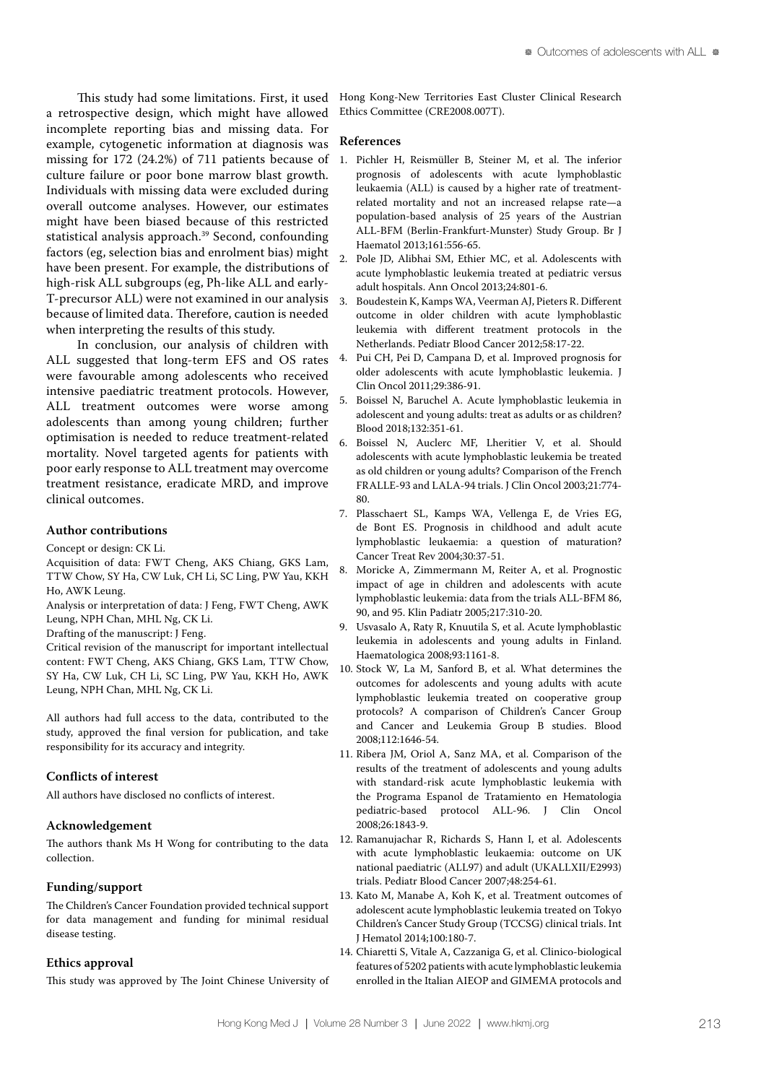This study had some limitations. First, it used a retrospective design, which might have allowed incomplete reporting bias and missing data. For example, cytogenetic information at diagnosis was missing for 172 (24.2%) of 711 patients because of culture failure or poor bone marrow blast growth. Individuals with missing data were excluded during overall outcome analyses. However, our estimates might have been biased because of this restricted statistical analysis approach.39 Second, confounding factors (eg, selection bias and enrolment bias) might have been present. For example, the distributions of high-risk ALL subgroups (eg, Ph-like ALL and early-T-precursor ALL) were not examined in our analysis because of limited data. Therefore, caution is needed when interpreting the results of this study.

In conclusion, our analysis of children with ALL suggested that long-term EFS and OS rates were favourable among adolescents who received intensive paediatric treatment protocols. However, ALL treatment outcomes were worse among adolescents than among young children; further optimisation is needed to reduce treatment-related mortality. Novel targeted agents for patients with poor early response to ALL treatment may overcome treatment resistance, eradicate MRD, and improve clinical outcomes.

### **Author contributions**

Concept or design: CK Li.

- Acquisition of data: FWT Cheng, AKS Chiang, GKS Lam, TTW Chow, SY Ha, CW Luk, CH Li, SC Ling, PW Yau, KKH Ho, AWK Leung.
- Analysis or interpretation of data: J Feng, FWT Cheng, AWK Leung, NPH Chan, MHL Ng, CK Li.
- Drafting of the manuscript: J Feng.

Critical revision of the manuscript for important intellectual content: FWT Cheng, AKS Chiang, GKS Lam, TTW Chow, SY Ha, CW Luk, CH Li, SC Ling, PW Yau, KKH Ho, AWK Leung, NPH Chan, MHL Ng, CK Li.

All authors had full access to the data, contributed to the study, approved the final version for publication, and take responsibility for its accuracy and integrity.

#### **Conflicts of interest**

All authors have disclosed no conflicts of interest.

#### **Acknowledgement**

The authors thank Ms H Wong for contributing to the data collection.

#### **Funding/support**

The Children's Cancer Foundation provided technical support for data management and funding for minimal residual disease testing.

### **Ethics approval**

This study was approved by The Joint Chinese University of

Hong Kong-New Territories East Cluster Clinical Research Ethics Committee (CRE2008.007T).

### **References**

- 1. Pichler H, Reismüller B, Steiner M, et al. The inferior prognosis of adolescents with acute lymphoblastic leukaemia (ALL) is caused by a higher rate of treatmentrelated mortality and not an increased relapse rate—a population-based analysis of 25 years of the Austrian ALL-BFM (Berlin-Frankfurt-Munster) Study Group. Br J Haematol 2013;161:556-65.
- 2. Pole JD, Alibhai SM, Ethier MC, et al. Adolescents with acute lymphoblastic leukemia treated at pediatric versus adult hospitals. Ann Oncol 2013;24:801-6.
- 3. Boudestein K, Kamps WA, Veerman AJ, Pieters R. Different outcome in older children with acute lymphoblastic leukemia with different treatment protocols in the Netherlands. Pediatr Blood Cancer 2012;58:17-22.
- 4. Pui CH, Pei D, Campana D, et al. Improved prognosis for older adolescents with acute lymphoblastic leukemia. J Clin Oncol 2011;29:386-91.
- 5. Boissel N, Baruchel A. Acute lymphoblastic leukemia in adolescent and young adults: treat as adults or as children? Blood 2018;132:351-61.
- 6. Boissel N, Auclerc MF, Lheritier V, et al. Should adolescents with acute lymphoblastic leukemia be treated as old children or young adults? Comparison of the French FRALLE-93 and LALA-94 trials. J Clin Oncol 2003;21:774- 80.
- 7. Plasschaert SL, Kamps WA, Vellenga E, de Vries EG, de Bont ES. Prognosis in childhood and adult acute lymphoblastic leukaemia: a question of maturation? Cancer Treat Rev 2004;30:37-51.
- 8. Moricke A, Zimmermann M, Reiter A, et al. Prognostic impact of age in children and adolescents with acute lymphoblastic leukemia: data from the trials ALL-BFM 86, 90, and 95. Klin Padiatr 2005;217:310-20.
- 9. Usvasalo A, Raty R, Knuutila S, et al. Acute lymphoblastic leukemia in adolescents and young adults in Finland. Haematologica 2008;93:1161-8.
- 10. Stock W, La M, Sanford B, et al. What determines the outcomes for adolescents and young adults with acute lymphoblastic leukemia treated on cooperative group protocols? A comparison of Children's Cancer Group and Cancer and Leukemia Group B studies. Blood 2008;112:1646-54.
- 11. Ribera JM, Oriol A, Sanz MA, et al. Comparison of the results of the treatment of adolescents and young adults with standard-risk acute lymphoblastic leukemia with the Programa Espanol de Tratamiento en Hematologia pediatric-based protocol ALL-96. J Clin Oncol 2008;26:1843-9.
- 12. Ramanujachar R, Richards S, Hann I, et al. Adolescents with acute lymphoblastic leukaemia: outcome on UK national paediatric (ALL97) and adult (UKALLXII/E2993) trials. Pediatr Blood Cancer 2007;48:254-61.
- 13. Kato M, Manabe A, Koh K, et al. Treatment outcomes of adolescent acute lymphoblastic leukemia treated on Tokyo Children's Cancer Study Group (TCCSG) clinical trials. Int J Hematol 2014;100:180-7.
- 14. Chiaretti S, Vitale A, Cazzaniga G, et al. Clinico-biological features of 5202 patients with acute lymphoblastic leukemia enrolled in the Italian AIEOP and GIMEMA protocols and